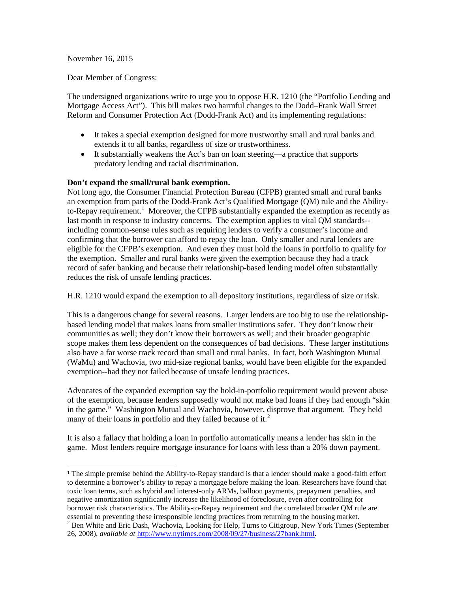## November 16, 2015

Dear Member of Congress:

The undersigned organizations write to urge you to oppose H.R. 1210 (the "Portfolio Lending and Mortgage Access Act"). This bill makes two harmful changes to the Dodd–Frank Wall Street Reform and Consumer Protection Act (Dodd-Frank Act) and its implementing regulations:

- It takes a special exemption designed for more trustworthy small and rural banks and extends it to all banks, regardless of size or trustworthiness.
- It substantially weakens the Act's ban on loan steering—a practice that supports predatory lending and racial discrimination.

## **Don't expand the small/rural bank exemption.**

Not long ago, the Consumer Financial Protection Bureau (CFPB) granted small and rural banks an exemption from parts of the Dodd-Frank Act's Qualified Mortgage (QM) rule and the Ability-to-Repay requirement.<sup>[1](#page-0-0)</sup> Moreover, the CFPB substantially expanded the exemption as recently as last month in response to industry concerns. The exemption applies to vital QM standards- including common-sense rules such as requiring lenders to verify a consumer's income and confirming that the borrower can afford to repay the loan. Only smaller and rural lenders are eligible for the CFPB's exemption. And even they must hold the loans in portfolio to qualify for the exemption. Smaller and rural banks were given the exemption because they had a track record of safer banking and because their relationship-based lending model often substantially reduces the risk of unsafe lending practices.

H.R. 1210 would expand the exemption to all depository institutions, regardless of size or risk.

This is a dangerous change for several reasons. Larger lenders are too big to use the relationshipbased lending model that makes loans from smaller institutions safer. They don't know their communities as well; they don't know their borrowers as well; and their broader geographic scope makes them less dependent on the consequences of bad decisions. These larger institutions also have a far worse track record than small and rural banks. In fact, both Washington Mutual (WaMu) and Wachovia, two mid-size regional banks, would have been eligible for the expanded exemption--had they not failed because of unsafe lending practices.

Advocates of the expanded exemption say the hold-in-portfolio requirement would prevent abuse of the exemption, because lenders supposedly would not make bad loans if they had enough "skin in the game." Washington Mutual and Wachovia, however, disprove that argument. They held many of their loans in portfolio and they failed because of it.<sup>[2](#page-0-1)</sup>

It is also a fallacy that holding a loan in portfolio automatically means a lender has skin in the game. Most lenders require mortgage insurance for loans with less than a 20% down payment.

<span id="page-0-0"></span> <sup>1</sup> The simple premise behind the Ability-to-Repay standard is that a lender should make a good-faith effort to determine a borrower's ability to repay a mortgage before making the loan. Researchers have found that toxic loan terms, such as hybrid and interest-only ARMs, balloon payments, prepayment penalties, and negative amortization significantly increase the likelihood of foreclosure, even after controlling for borrower risk characteristics. The Ability-to-Repay requirement and the correlated broader QM rule are essential to preventing these irresponsible lending practices from returning to the housing market.

<span id="page-0-1"></span><sup>&</sup>lt;sup>2</sup> Ben White and Eric Dash, Wachovia, Looking for Help, Turns to Citigroup, New York Times (September 26, 2008), *available at* [http://www.nytimes.com/2008/09/27/business/27bank.html.](http://www.nytimes.com/2008/09/27/business/27bank.html)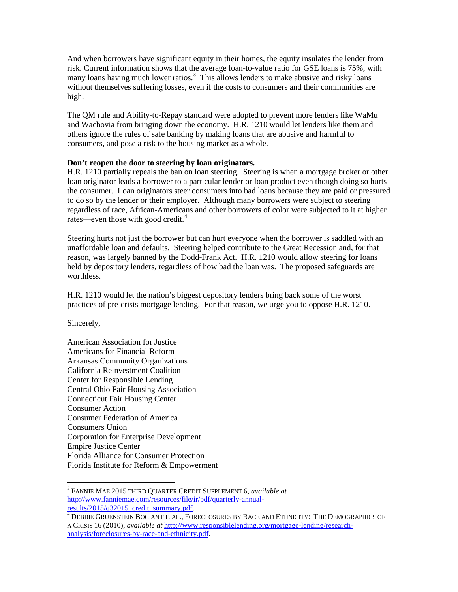And when borrowers have significant equity in their homes, the equity insulates the lender from risk. Current information shows that the average loan-to-value ratio for GSE loans is 75%, with many loans having much lower ratios.<sup>[3](#page-1-0)</sup> This allows lenders to make abusive and risky loans without themselves suffering losses, even if the costs to consumers and their communities are high.

The QM rule and Ability-to-Repay standard were adopted to prevent more lenders like WaMu and Wachovia from bringing down the economy. H.R. 1210 would let lenders like them and others ignore the rules of safe banking by making loans that are abusive and harmful to consumers, and pose a risk to the housing market as a whole.

## **Don't reopen the door to steering by loan originators.**

H.R. 1210 partially repeals the ban on loan steering. Steering is when a mortgage broker or other loan originator leads a borrower to a particular lender or loan product even though doing so hurts the consumer. Loan originators steer consumers into bad loans because they are paid or pressured to do so by the lender or their employer. Although many borrowers were subject to steering regardless of race, African-Americans and other borrowers of color were subjected to it at higher rates—even those with good credit. $4$ 

Steering hurts not just the borrower but can hurt everyone when the borrower is saddled with an unaffordable loan and defaults. Steering helped contribute to the Great Recession and, for that reason, was largely banned by the Dodd-Frank Act. H.R. 1210 would allow steering for loans held by depository lenders, regardless of how bad the loan was. The proposed safeguards are worthless.

H.R. 1210 would let the nation's biggest depository lenders bring back some of the worst practices of pre-crisis mortgage lending. For that reason, we urge you to oppose H.R. 1210.

Sincerely,

American Association for Justice Americans for Financial Reform Arkansas Community Organizations California Reinvestment Coalition Center for Responsible Lending Central Ohio Fair Housing Association Connecticut Fair Housing Center Consumer Action Consumer Federation of America Consumers Union Corporation for Enterprise Development Empire Justice Center Florida Alliance for Consumer Protection Florida Institute for Reform & Empowerment

<span id="page-1-0"></span><sup>3</sup> FANNIE MAE 2015 THIRD QUARTER CREDIT SUPPLEMENT 6, *available at* http://www.fanniemae.com/resources/file/ir/pdf/quarterly-annual-<br>results/2015/q32015\_credit\_summary.pdf.

<span id="page-1-1"></span><sup>&</sup>lt;sup>4</sup> DEBBIE GRUENSTEIN BOCIAN ET. AL., FORECLOSURES BY RACE AND ETHNICITY: THE DEMOGRAPHICS OF A CRISIS 16 (2010), *available at* [http://www.responsiblelending.org/mortgage-lending/research](http://www.responsiblelending.org/mortgage-lending/research-analysis/foreclosures-by-race-and-ethnicity.pdf)[analysis/foreclosures-by-race-and-ethnicity.pdf.](http://www.responsiblelending.org/mortgage-lending/research-analysis/foreclosures-by-race-and-ethnicity.pdf)